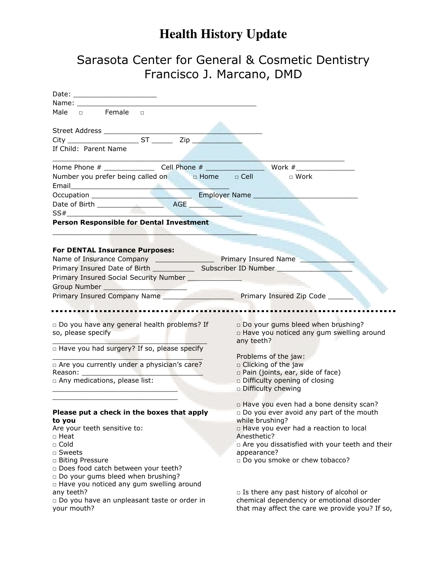## **Health History Update**

## Sarasota Center for General & Cosmetic Dentistry Francisco J. Marcano, DMD

| Date: ________________________                                               |                                                  |
|------------------------------------------------------------------------------|--------------------------------------------------|
|                                                                              |                                                  |
| Male a Female a                                                              |                                                  |
|                                                                              |                                                  |
|                                                                              |                                                  |
|                                                                              |                                                  |
| If Child: Parent Name                                                        |                                                  |
|                                                                              |                                                  |
| Number you prefer being called on the definition of Dell                     | ■■■ □ Work                                       |
|                                                                              |                                                  |
|                                                                              |                                                  |
|                                                                              |                                                  |
| SS#                                                                          |                                                  |
| Person Responsible for Dental Investment                                     |                                                  |
|                                                                              |                                                  |
|                                                                              |                                                  |
| <b>For DENTAL Insurance Purposes:</b>                                        |                                                  |
| Name of Insurance Company _______________________ Primary Insured Name _____ |                                                  |
|                                                                              |                                                  |
| Primary Insured Social Security Number ________________                      |                                                  |
|                                                                              |                                                  |
| Primary Insured Company Name Primary Insured Zip Code                        |                                                  |
|                                                                              |                                                  |
|                                                                              |                                                  |
| □ Do you have any general health problems? If                                | Do your gums bleed when brushing?                |
| so, please specify                                                           | n Have you noticed any gum swelling around       |
| Thave you had surgery? If so, please specify                                 | any teeth?                                       |
|                                                                              | Problems of the jaw:                             |
| □ Are you currently under a physician's care?                                | $\square$ Clicking of the jaw                    |
|                                                                              | $\Box$ Pain (joints, ear, side of face)          |
| a Any medications, please list:                                              | Difficulty opening of closing                    |
|                                                                              | Difficulty chewing                               |
|                                                                              | □ Have you even had a bone density scan?         |
| Please put a check in the boxes that apply                                   | Do you ever avoid any part of the mouth          |
| to you                                                                       | while brushing?                                  |
| Are your teeth sensitive to:                                                 | □ Have you ever had a reaction to local          |
| □ Heat                                                                       | Anesthetic?                                      |
| $\Box$ Cold                                                                  | a Are you dissatisfied with your teeth and their |
| □ Sweets                                                                     | appearance?                                      |
| □ Biting Pressure                                                            | Do you smoke or chew tobacco?                    |
| Does food catch between your teeth?                                          |                                                  |
| Do your gums bleed when brushing?                                            |                                                  |
| □ Have you noticed any gum swelling around<br>any teeth?                     | $\Box$ Is there any past history of alcohol or   |
| □ Do you have an unpleasant taste or order in                                | chemical dependency or emotional disorder        |
| your mouth?                                                                  | that may affect the care we provide you? If so,  |